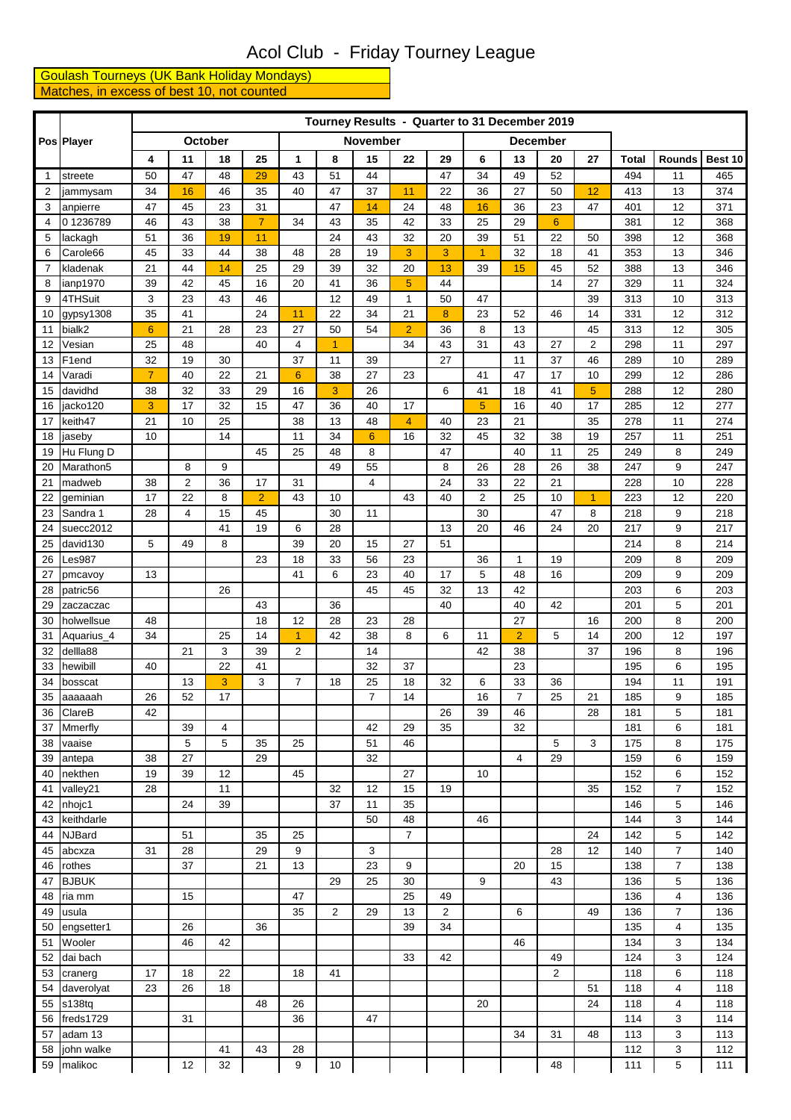## Acol Club - Friday Tourney League

**Goulash Tourneys (UK Bank Holiday Mondays)** Matches, in excess of best 10, not counted

|                | Pos Player            |                |                |          |                |                 |          |          |                |                |                | Tourney Results - Quarter to 31 December 2019 |                 |                         |              |                |            |
|----------------|-----------------------|----------------|----------------|----------|----------------|-----------------|----------|----------|----------------|----------------|----------------|-----------------------------------------------|-----------------|-------------------------|--------------|----------------|------------|
|                |                       |                |                | October  |                |                 |          | November |                |                |                |                                               | <b>December</b> |                         |              |                |            |
|                |                       | 4              | 11             | 18       | 25             | 1               | 8        | 15       | 22             | 29             | 6              | 13                                            | 20              | 27                      | <b>Total</b> | Rounds         | Best 10    |
| $\overline{1}$ | streete               | 50             | 47             | 48       | 29             | 43              | 51       | 44       |                | 47             | 34             | 49                                            | 52              |                         | 494          | 11             | 465        |
| $\overline{2}$ | jammysam              | 34             | 16             | 46       | 35             | 40              | 47       | 37       | 11             | 22             | 36             | 27                                            | 50              | 12                      | 413          | 13             | 374        |
| 3              | anpierre              | 47             | 45             | 23       | 31             |                 | 47       | 14       | 24             | 48             | 16             | 36                                            | 23              | 47                      | 401          | 12             | 371        |
| 4              | 01236789              | 46             | 43             | 38       | $\overline{7}$ | 34              | 43       | 35       | 42             | 33             | 25             | 29                                            | $6\phantom{1}$  |                         | 381          | 12             | 368        |
| 5              | lackagh               | 51             | 36             | 19       | 11             |                 | 24       | 43       | 32             | 20             | 39             | 51                                            | 22              | 50                      | 398          | 12             | 368        |
| 6              | Carole66              | 45             | 33             | 44       | 38             | 48              | 28       | 19       | 3              | 3              | $\overline{1}$ | 32                                            | 18              | 41                      | 353          | 13             | 346        |
| 7              | kladenak              | 21             | 44             | 14       | 25             | 29              | 39       | 32       | 20             | 13             | 39             | 15                                            | 45              | 52                      | 388          | 13             | 346        |
| 8              | ianp1970              | 39             | 42             | 45       | 16             | 20              | 41       | 36       | 5              | 44             |                |                                               | 14              | 27                      | 329          | 11             | 324        |
| 9              | 4THSuit               | 3              | 23             | 43       | 46             |                 | 12       | 49       | $\mathbf{1}$   | 50             | 47             |                                               |                 | 39                      | 313          | 10             | 313        |
| 10             | gypsy1308             | 35             | 41             |          | 24             | 11              | 22       | 34       | 21             | 8              | 23             | 52                                            | 46              | 14                      | 331          | 12             | 312        |
| 11             | bialk2                | $6\phantom{1}$ | 21             | 28       | 23             | 27              | 50       | 54       | $\overline{2}$ | 36             | 8              | 13                                            |                 | 45                      | 313          | 12             | 305        |
| 12             | Vesian                | 25             | 48             |          | 40             | 4               | 1        |          | 34             | 43             | 31             | 43                                            | 27              | $\overline{\mathbf{c}}$ | 298          | 11             | 297        |
| 13             | F1end                 | 32             | 19             | 30       |                | 37              | 11       | 39       |                | 27             |                | 11                                            | 37              | 46                      | 289          | 10             | 289        |
| 14             | Varadi                | $\overline{7}$ | 40             | 22       | 21             | $6\phantom{1}6$ | 38       | 27       | 23             |                | 41             | 47                                            | 17              | 10                      | 299          | 12             | 286        |
| 15             | davidhd               | 38             | 32<br>17       | 33<br>32 | 29<br>15       | 16              | 3        | 26<br>40 | 17             | 6              | 41             | 18<br>16                                      | 41<br>40        | 5<br>17                 | 288          | 12<br>12       | 280<br>277 |
| 16             | jacko120<br>keith47   | 3<br>21        | 10             | 25       |                | 47<br>38        | 36<br>13 | 48       | $\overline{4}$ | 40             | 5<br>23        | 21                                            |                 | 35                      | 285<br>278   | 11             | 274        |
| 17<br>18       |                       | 10             |                | 14       |                | 11              | 34       | 6        | 16             | 32             | 45             | 32                                            | 38              | 19                      | 257          | 11             | 251        |
| 19             | jaseby<br>Hu Flung D  |                |                |          | 45             | 25              | 48       | 8        |                | 47             |                | 40                                            | 11              | 25                      | 249          | 8              | 249        |
| 20             | Marathon <sub>5</sub> |                | 8              | 9        |                |                 | 49       | 55       |                | 8              | 26             | 28                                            | 26              | 38                      | 247          | 9              | 247        |
| 21             | madweb                | 38             | $\overline{2}$ | 36       | 17             | 31              |          | 4        |                | 24             | 33             | 22                                            | 21              |                         | 228          | 10             | 228        |
| 22             | geminian              | 17             | 22             | 8        | $\overline{2}$ | 43              | 10       |          | 43             | 40             | $\overline{2}$ | 25                                            | 10              | $\overline{1}$          | 223          | 12             | 220        |
| 23             | Sandra 1              | 28             | 4              | 15       | 45             |                 | 30       | 11       |                |                | 30             |                                               | 47              | 8                       | 218          | 9              | 218        |
| 24             | suecc2012             |                |                | 41       | 19             | 6               | 28       |          |                | 13             | 20             | 46                                            | 24              | 20                      | 217          | 9              | 217        |
| 25             | david130              | 5              | 49             | 8        |                | 39              | 20       | 15       | 27             | 51             |                |                                               |                 |                         | 214          | 8              | 214        |
| 26             | Les987                |                |                |          | 23             | 18              | 33       | 56       | 23             |                | 36             | $\mathbf{1}$                                  | 19              |                         | 209          | 8              | 209        |
| 27             | pmcavoy               | 13             |                |          |                | 41              | 6        | 23       | 40             | 17             | 5              | 48                                            | 16              |                         | 209          | 9              | 209        |
| 28             | patric56              |                |                | 26       |                |                 |          | 45       | 45             | 32             | 13             | 42                                            |                 |                         | 203          | 6              | 203        |
| 29             | zaczaczac             |                |                |          | 43             |                 | 36       |          |                | 40             |                | 40                                            | 42              |                         | 201          | 5              | 201        |
| 30             | holwellsue            | 48             |                |          | 18             | 12              | 28       | 23       | 28             |                |                | 27                                            |                 | 16                      | 200          | 8              | 200        |
| 31             | Aquarius_4            | 34             |                | 25       | 14             | $\overline{1}$  | 42       | 38       | 8              | 6              | 11             | $\overline{2}$                                | 5               | 14                      | 200          | 12             | 197        |
| 32             | dellla88              |                | 21             | 3        | 39             | $\overline{2}$  |          | 14       |                |                | 42             | 38                                            |                 | 37                      | 196          | 8              | 196        |
| 33             | hewibill              | 40             |                | 22       | 41             |                 |          | 32       | 37             |                |                | 23                                            |                 |                         | 195          | 6              | 195        |
| 34             | bosscat               |                | 13             | 3        | 3              | 7               | 18       | 25       | 18             | 32             | 6              | 33                                            | 36              |                         | 194          | 11             | 191        |
| 35             | aaaaaah               | 26             | 52             | 17       |                |                 |          | 7        | 14             |                | 16             | 7                                             | 25              | 21                      | 185          | 9              | 185        |
| 36             | ClareB                | 42             |                |          |                |                 |          |          |                | 26             | 39             | 46                                            |                 | 28                      | 181          | 5              | 181        |
| 37             | Mmerfly               |                | 39             | 4        |                |                 |          | 42       | 29             | 35             |                | 32                                            |                 |                         | 181          | 6              | 181        |
| 38             | vaaise                |                | 5<br>27        | 5        | 35<br>29       | 25              |          | 51       | 46             |                |                |                                               | 5               | 3                       | 175          | 8              | 175        |
| 39<br>40       | antepa<br>nekthen     | 38<br>19       | 39             | 12       |                | 45              |          | 32       | 27             |                | 10             | 4                                             | 29              |                         | 159<br>152   | 6<br>6         | 159<br>152 |
| 41             | valley21              | 28             |                | 11       |                |                 | 32       | 12       | 15             | 19             |                |                                               |                 | 35                      | 152          | 7              | 152        |
| 42             | nhojc1                |                | 24             | 39       |                |                 | 37       | 11       | 35             |                |                |                                               |                 |                         | 146          | 5              | 146        |
| 43             | keithdarle            |                |                |          |                |                 |          | 50       | 48             |                | 46             |                                               |                 |                         | 144          | 3              | 144        |
| 44             | <b>NJBard</b>         |                | 51             |          | 35             | 25              |          |          | $\overline{7}$ |                |                |                                               |                 | 24                      | 142          | 5              | 142        |
| 45             | abcxza                | 31             | 28             |          | 29             | 9               |          | 3        |                |                |                |                                               | 28              | 12                      | 140          | $\overline{7}$ | 140        |
| 46             | rothes                |                | 37             |          | 21             | 13              |          | 23       | 9              |                |                | 20                                            | 15              |                         | 138          | 7              | 138        |
| 47             | <b>BJBUK</b>          |                |                |          |                |                 | 29       | 25       | 30             |                | 9              |                                               | 43              |                         | 136          | 5              | 136        |
| 48             | ria mm                |                | 15             |          |                | 47              |          |          | 25             | 49             |                |                                               |                 |                         | 136          | 4              | 136        |
| 49             | usula                 |                |                |          |                | 35              | 2        | 29       | 13             | $\overline{2}$ |                | 6                                             |                 | 49                      | 136          | 7              | 136        |
| 50             | engsetter1            |                | 26             |          | 36             |                 |          |          | 39             | 34             |                |                                               |                 |                         | 135          | 4              | 135        |
| 51             | Wooler                |                | 46             | 42       |                |                 |          |          |                |                |                | 46                                            |                 |                         | 134          | 3              | 134        |
| 52             | dai bach              |                |                |          |                |                 |          |          | 33             | 42             |                |                                               | 49              |                         | 124          | 3              | 124        |
| 53             | cranerg               | 17             | 18             | 22       |                | 18              | 41       |          |                |                |                |                                               | $\overline{2}$  |                         | 118          | 6              | 118        |
| 54             | daverolyat            | 23             | 26             | 18       |                |                 |          |          |                |                |                |                                               |                 | 51                      | 118          | $\overline{4}$ | 118        |
| 55             | s138tq                |                |                |          | 48             | 26              |          |          |                |                | 20             |                                               |                 | 24                      | 118          | $\overline{4}$ | 118        |
| 56             | freds1729             |                | 31             |          |                | 36              |          | 47       |                |                |                |                                               |                 |                         | 114          | 3              | 114        |
| 57             | adam 13               |                |                |          |                |                 |          |          |                |                |                | 34                                            | 31              | 48                      | 113          | 3              | 113        |
| 58             | john walke            |                |                | 41       | 43             | 28              |          |          |                |                |                |                                               |                 |                         | 112          | 3              | 112        |
| 59             | malikoc               |                | 12             | 32       |                | 9               | $10\,$   |          |                |                |                |                                               | 48              |                         | 111          | 5              | 111        |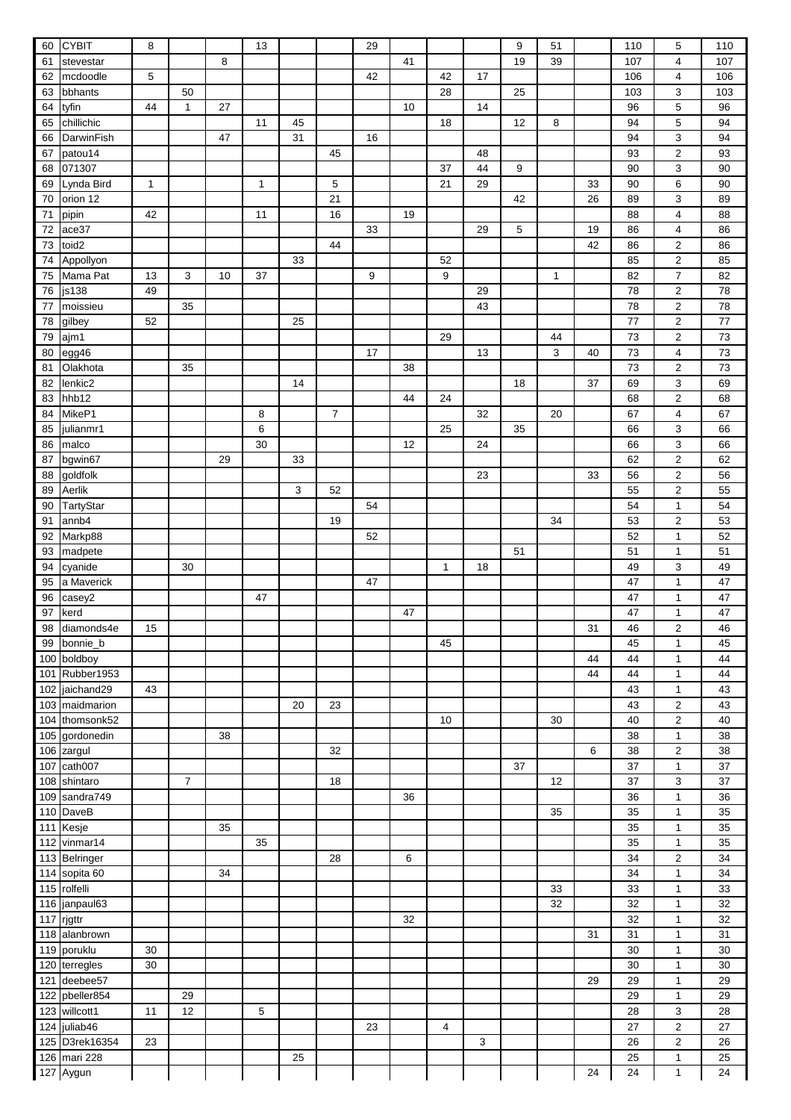| 60  | <b>CYBIT</b>  | 8            |                |    | 13           |    |                | 29 |    |              |    | 9  | 51 |    | 110 | 5                | 110 |
|-----|---------------|--------------|----------------|----|--------------|----|----------------|----|----|--------------|----|----|----|----|-----|------------------|-----|
| 61  | stevestar     |              |                | 8  |              |    |                |    | 41 |              |    | 19 | 39 |    | 107 | 4                | 107 |
| 62  | mcdoodle      | 5            |                |    |              |    |                | 42 |    | 42           | 17 |    |    |    | 106 | 4                | 106 |
| 63  | bbhants       |              | 50             |    |              |    |                |    |    | 28           |    | 25 |    |    | 103 | 3                | 103 |
| 64  | tyfin         | 44           | 1              | 27 |              |    |                |    | 10 |              | 14 |    |    |    | 96  | $\mathbf 5$      | 96  |
| 65  | chillichic    |              |                |    | 11           | 45 |                |    |    | 18           |    | 12 | 8  |    | 94  | $\mathbf 5$      | 94  |
| 66  | DarwinFish    |              |                | 47 |              | 31 |                | 16 |    |              |    |    |    |    | 94  | $\mathsf 3$      | 94  |
| 67  | patou14       |              |                |    |              |    | 45             |    |    |              | 48 |    |    |    | 93  | $\boldsymbol{2}$ | 93  |
|     | 071307        |              |                |    |              |    |                |    |    | 37           | 44 | 9  |    |    | 90  |                  |     |
| 68  |               |              |                |    |              |    |                |    |    |              |    |    |    |    |     | 3                | 90  |
| 69  | Lynda Bird    | $\mathbf{1}$ |                |    | $\mathbf{1}$ |    | 5              |    |    | 21           | 29 |    |    | 33 | 90  | 6                | 90  |
| 70  | orion 12      |              |                |    |              |    | 21             |    |    |              |    | 42 |    | 26 | 89  | $\mathsf 3$      | 89  |
| 71  | pipin         | 42           |                |    | 11           |    | 16             |    | 19 |              |    |    |    |    | 88  | $\overline{4}$   | 88  |
| 72  | ace37         |              |                |    |              |    |                | 33 |    |              | 29 | 5  |    | 19 | 86  | $\overline{4}$   | 86  |
| 73  | toid2         |              |                |    |              |    | 44             |    |    |              |    |    |    | 42 | 86  | $\boldsymbol{2}$ | 86  |
| 74  | Appollyon     |              |                |    |              | 33 |                |    |    | 52           |    |    |    |    | 85  | $\boldsymbol{2}$ | 85  |
| 75  | Mama Pat      | 13           | 3              | 10 | 37           |    |                | 9  |    | 9            |    |    | 1  |    | 82  | $\overline{7}$   | 82  |
| 76  | js138         | 49           |                |    |              |    |                |    |    |              | 29 |    |    |    | 78  | $\boldsymbol{2}$ | 78  |
| 77  | moissieu      |              | 35             |    |              |    |                |    |    |              | 43 |    |    |    | 78  | $\boldsymbol{2}$ | 78  |
| 78  | gilbey        | 52           |                |    |              | 25 |                |    |    |              |    |    |    |    | 77  | $\boldsymbol{2}$ | 77  |
| 79  | ajm1          |              |                |    |              |    |                |    |    | 29           |    |    | 44 |    | 73  | $\boldsymbol{2}$ | 73  |
| 80  | egg46         |              |                |    |              |    |                | 17 |    |              | 13 |    | 3  | 40 | 73  | 4                | 73  |
| 81  | Olakhota      |              | 35             |    |              |    |                |    | 38 |              |    |    |    |    | 73  | $\boldsymbol{2}$ | 73  |
|     |               |              |                |    |              |    |                |    |    |              |    |    |    |    |     |                  |     |
| 82  | lenkic2       |              |                |    |              | 14 |                |    |    |              |    | 18 |    | 37 | 69  | 3                | 69  |
| 83  | hhb12         |              |                |    |              |    |                |    | 44 | 24           |    |    |    |    | 68  | $\boldsymbol{2}$ | 68  |
| 84  | MikeP1        |              |                |    | 8            |    | $\overline{7}$ |    |    |              | 32 |    | 20 |    | 67  | $\overline{4}$   | 67  |
| 85  | julianmr1     |              |                |    | 6            |    |                |    |    | 25           |    | 35 |    |    | 66  | 3                | 66  |
| 86  | malco         |              |                |    | 30           |    |                |    | 12 |              | 24 |    |    |    | 66  | 3                | 66  |
| 87  | bgwin67       |              |                | 29 |              | 33 |                |    |    |              |    |    |    |    | 62  | $\boldsymbol{2}$ | 62  |
| 88  | goldfolk      |              |                |    |              |    |                |    |    |              | 23 |    |    | 33 | 56  | $\boldsymbol{2}$ | 56  |
| 89  | Aerlik        |              |                |    |              | 3  | 52             |    |    |              |    |    |    |    | 55  | $\boldsymbol{2}$ | 55  |
| 90  | TartyStar     |              |                |    |              |    |                | 54 |    |              |    |    |    |    | 54  | $\mathbf{1}$     | 54  |
| 91  | annb4         |              |                |    |              |    | 19             |    |    |              |    |    | 34 |    | 53  | $\boldsymbol{2}$ | 53  |
| 92  | Markp88       |              |                |    |              |    |                | 52 |    |              |    |    |    |    | 52  | $\mathbf{1}$     | 52  |
| 93  | madpete       |              |                |    |              |    |                |    |    |              |    | 51 |    |    | 51  | $\mathbf{1}$     | 51  |
| 94  | cyanide       |              | 30             |    |              |    |                |    |    | $\mathbf{1}$ | 18 |    |    |    | 49  | 3                | 49  |
| 95  | a Maverick    |              |                |    |              |    |                | 47 |    |              |    |    |    |    | 47  | $\mathbf{1}$     | 47  |
|     |               |              |                |    | 47           |    |                |    |    |              |    |    |    |    | 47  |                  | 47  |
| 96  | casey2        |              |                |    |              |    |                |    |    |              |    |    |    |    |     | $\mathbf{1}$     |     |
| 97  | kerd          |              |                |    |              |    |                |    | 47 |              |    |    |    |    | 47  | $\mathbf{1}$     | 47  |
| 98  | diamonds4e    | 15           |                |    |              |    |                |    |    |              |    |    |    | 31 | 46  | $\overline{2}$   | 46  |
| 99  | bonnie_b      |              |                |    |              |    |                |    |    | 45           |    |    |    |    | 45  | $\mathbf{1}$     | 45  |
| 100 | boldboy       |              |                |    |              |    |                |    |    |              |    |    |    | 44 | 44  | $\mathbf{1}$     | 44  |
| 101 | Rubber1953    |              |                |    |              |    |                |    |    |              |    |    |    | 44 | 44  | $\mathbf{1}$     | 44  |
| 102 | jaichand29    | 43           |                |    |              |    |                |    |    |              |    |    |    |    | 43  | $\mathbf{1}$     | 43  |
| 103 | maidmarion    |              |                |    |              | 20 | 23             |    |    |              |    |    |    |    | 43  | $\overline{2}$   | 43  |
| 104 | thomsonk52    |              |                |    |              |    |                |    |    | 10           |    |    | 30 |    | 40  | $\overline{2}$   | 40  |
| 105 | gordonedin    |              |                | 38 |              |    |                |    |    |              |    |    |    |    | 38  | $\mathbf{1}$     | 38  |
| 106 | zargul        |              |                |    |              |    | 32             |    |    |              |    |    |    | 6  | 38  | $\overline{2}$   | 38  |
| 107 | cath007       |              |                |    |              |    |                |    |    |              |    | 37 |    |    | 37  | $\mathbf{1}$     | 37  |
| 108 | shintaro      |              | $\overline{7}$ |    |              |    | 18             |    |    |              |    |    | 12 |    | 37  | 3                | 37  |
| 109 | sandra749     |              |                |    |              |    |                |    | 36 |              |    |    |    |    | 36  | $\mathbf{1}$     | 36  |
|     |               |              |                |    |              |    |                |    |    |              |    |    |    |    | 35  | $\mathbf{1}$     |     |
| 110 | DaveB         |              |                |    |              |    |                |    |    |              |    |    | 35 |    |     |                  | 35  |
| 111 | Kesje         |              |                | 35 |              |    |                |    |    |              |    |    |    |    | 35  | $\mathbf{1}$     | 35  |
| 112 | vinmar14      |              |                |    | 35           |    |                |    |    |              |    |    |    |    | 35  | $\mathbf{1}$     | 35  |
|     | 113 Belringer |              |                |    |              |    | 28             |    | 6  |              |    |    |    |    | 34  | $\overline{2}$   | 34  |
|     | 114 sopita 60 |              |                | 34 |              |    |                |    |    |              |    |    |    |    | 34  | $\mathbf{1}$     | 34  |
|     | 115 rolfelli  |              |                |    |              |    |                |    |    |              |    |    | 33 |    | 33  | $\mathbf{1}$     | 33  |
| 116 | janpaul63     |              |                |    |              |    |                |    |    |              |    |    | 32 |    | 32  | $\mathbf{1}$     | 32  |
| 117 | rjgttr        |              |                |    |              |    |                |    | 32 |              |    |    |    |    | 32  | $\mathbf{1}$     | 32  |
| 118 | alanbrown     |              |                |    |              |    |                |    |    |              |    |    |    | 31 | 31  | $\mathbf{1}$     | 31  |
| 119 | poruklu       | 30           |                |    |              |    |                |    |    |              |    |    |    |    | 30  | $\mathbf{1}$     | 30  |
| 120 | terregles     | 30           |                |    |              |    |                |    |    |              |    |    |    |    | 30  | $\mathbf{1}$     | 30  |
| 121 | deebee57      |              |                |    |              |    |                |    |    |              |    |    |    | 29 | 29  | $\mathbf{1}$     | 29  |
| 122 | pbeller854    |              | 29             |    |              |    |                |    |    |              |    |    |    |    | 29  | $\mathbf{1}$     | 29  |
|     |               | 11           |                |    |              |    |                |    |    |              |    |    |    |    | 28  |                  |     |
| 123 | willcott1     |              | 12             |    | 5            |    |                |    |    |              |    |    |    |    |     | 3                | 28  |
| 124 | juliab46      |              |                |    |              |    |                | 23 |    | 4            |    |    |    |    | 27  | $\overline{2}$   | 27  |
| 125 | D3rek16354    | 23           |                |    |              |    |                |    |    |              | 3  |    |    |    | 26  | $\boldsymbol{2}$ | 26  |
| 126 | mari 228      |              |                |    |              | 25 |                |    |    |              |    |    |    |    | 25  | $\mathbf{1}$     | 25  |
|     | 127 Aygun     |              |                |    |              |    |                |    |    |              |    |    |    | 24 | 24  | 1                | 24  |